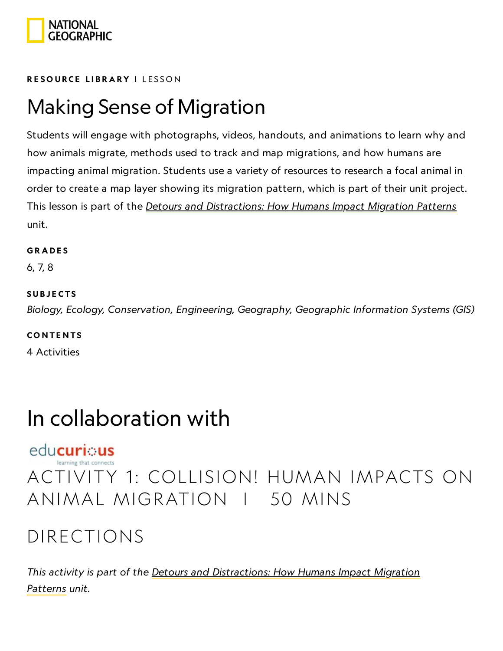

#### RESOURCE LIBRA[RY](https://www.nationalgeographic.org/education/resource-library/) I LESSON

### Making Sense of Migration

Students will engage with photographs, videos, handouts, and animations to learn why and how animals migrate, methods used to track and map migrations, and how humans are impacting animal migration. Students use a variety of resources to research a focal animal in order to create a map layer showing its migration pattern, which is part of their unit project. This lesson is part of the *Detours and [Distractions: How](https://www.nationalgeographic.org/unit/detours-and-distractions/) Humans Impact Migration Patterns* unit.

#### **GRADES**

6, 7, 8

#### **SUBJECTS**

Biology, Ecology, Conservation, Engineering, Geography, Geographic Information Systems (GIS)

#### **CONTENTS**

4 Activities

### In collaboration with

#### educurious

### ACTIVITY 1: COLLISION! HUMAN IMPACTS ON ANIMAL MIGRATION | 50 MINS

### DIRECTIONS

This activity is part of the Detours and [Distractions: How](https://www.nationalgeographic.org/unit/detours-and-distractions/) Humans Impact Migration Patterns unit.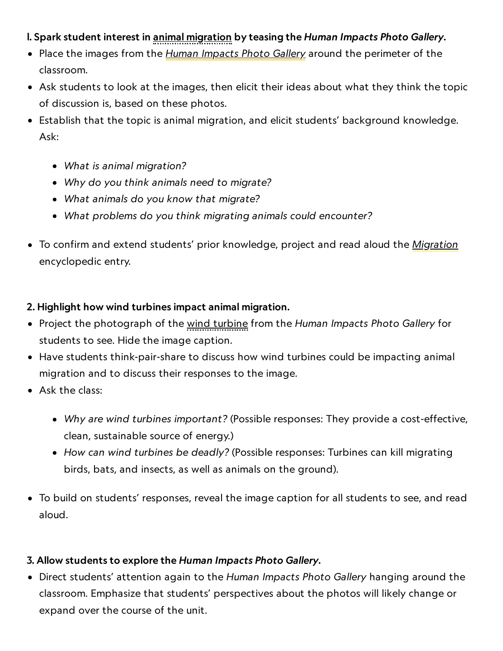#### I. Spark student interest in animal migration by teasing the Human Impacts Photo Gallery.

- Place the images from the *Human [Impacts](https://media.nationalgeographic.org/assets/file/HumanImpactGallery.pdf) Photo Gallery* around the perimeter of the classroom.
- Ask students to look at the images, then elicit their ideas about what they think the topic of discussion is, based on these photos.
- Establish that the topic is animal migration, and elicit students' background knowledge. Ask:
	- What is animal migration?
	- Why do you think animals need to migrate?
	- What animals do you know that migrate?
	- What problems do you think migrating animals could encounter?
- To confirm and extend students' prior knowledge, project and read aloud the *[Migration](https://www.nationalgeographic.org/encyclopedia/migration/)* encyclopedic entry.

#### 2. Highlight how wind turbines impact animal migration.

- Project the photograph of the wind turbine from the Human Impacts Photo Gallery for students to see. Hide the image caption.
- Have students think-pair-share to discuss how wind turbines could be impacting animal migration and to discuss their responses to the image.
- Ask the class:
	- Why are wind turbines important? (Possible responses: They provide a cost-effective, clean, sustainable source of energy.)
	- How can wind turbines be deadly? (Possible responses: Turbines can kill migrating birds, bats, and insects, as well as animals on the ground).
- To build on students' responses, reveal the image caption for all students to see, and read aloud.

#### 3. Allow students to explore the Human Impacts Photo Gallery.

• Direct students' attention again to the Human Impacts Photo Gallery hanging around the classroom. Emphasize that students' perspectives about the photos will likely change or expand over the course of the unit.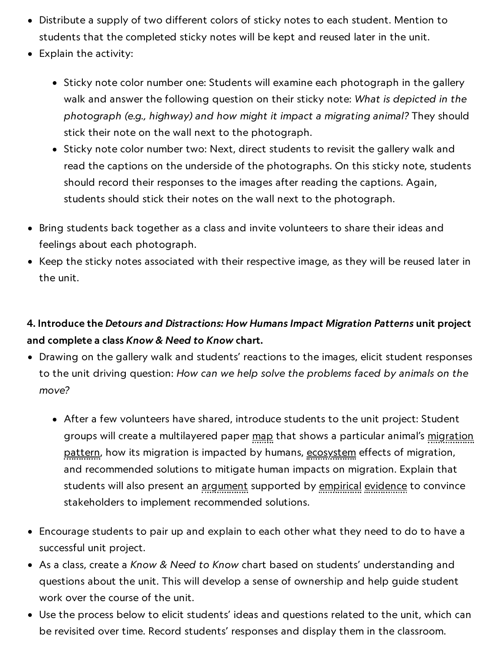- Distribute a supply of two different colors of sticky notes to each student. Mention to students that the completed sticky notes will be kept and reused later in the unit.
- Explain the activity:
	- Sticky note color number one: Students will examine each photograph in the gallery walk and answer the following question on their sticky note: What is depicted in the photograph (e.g., highway) and how might it impact a migrating animal? They should stick their note on the wall next to the photograph.
	- Sticky note color number two: Next, direct students to revisit the gallery walk and read the captions on the underside of the photographs. On this sticky note, students should record their responses to the images after reading the captions. Again, students should stick their notes on the wall next to the photograph.
- Bring students back together as a class and invite volunteers to share their ideas and feelings about each photograph.
- $\bullet$  Keep the sticky notes associated with their respective image, as they will be reused later in the unit.

#### 4. Introduce the Detours and Distractions: How Humans Impact Migration Patterns unit project and complete a class Know & Need to Know chart.

- Drawing on the gallery walk and students' reactions to the images, elicit student responses to the unit driving question: How can we help solve the problems faced by animals on the move?
	- After a few volunteers have shared, introduce students to the unit project: Student groups will create a multilayered paper map that shows a particular animal's migration pattern, how its migration is impacted by humans, ecosystem effects of migration, and recommended solutions to mitigate human impacts on migration. Explain that students will also present an argument supported by empirical evidence to convince stakeholders to implement recommended solutions.
- Encourage students to pair up and explain to each other what they need to do to have a successful unit project.
- As a class, create a Know & Need to Know chart based on students' understanding and questions about the unit. This will develop a sense of ownership and help guide student work over the course of the unit.
- Use the process below to elicit students' ideas and questions related to the unit, which can be revisited over time. Record students' responses and display them in the classroom.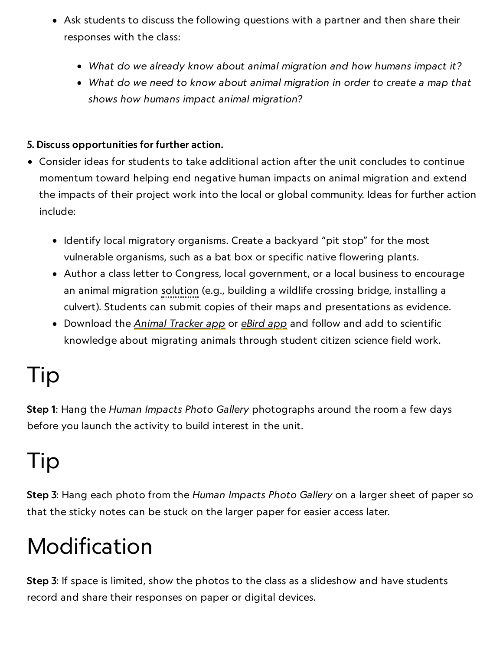- Ask students to discuss the following questions with a partner and then share their responses with the class:
	- What do we already know about animal migration and how humans impact it?
	- What do we need to know about animal migration in order to create a map that shows how humans impact animal migration?

#### 5. Discuss opportunities for further action.

- Consider ideas for students to take additional action after the unit concludes to continue momentum toward helping end negative human impacts on animal migration and extend the impacts of their project work into the local or global community. Ideas for further action include:
	- Identify local migratory organisms. Create a backyard "pit stop" for the most vulnerable organisms, such as a bat box or specific native flowering plants.
	- Author a class letter to Congress, local government, or a local business to encourage an animal migration solution (e.g., building a wildlife crossing bridge, installing a culvert). Students can submit copies of their maps and presentations as evidence.
	- Download the <u>Animal [Tracker](https://www.orn.mpg.de/animal_tracker) app</u> or <u>[eBird](https://ebird.org/home) app</u> and follow and add to scientific knowledge about migrating animals through student citizen science field work.

### Tip

Step 1: Hang the Human Impacts Photo Gallery photographs around the room a few days before you launch the activity to build interest in the unit.

## Tip

Step 3: Hang each photo from the Human Impacts Photo Gallery on a larger sheet of paper so that the sticky notes can be stuck on the larger paper for easier access later.

## Modification

Step 3: If space is limited, show the photos to the class as a slideshow and have students record and share their responses on paper or digital devices.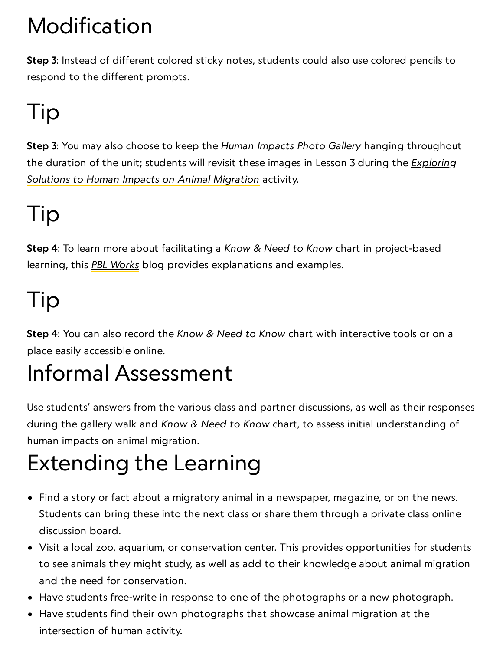# Modification

Step 3: Instead of different colored sticky notes, students could also use colored pencils to respond to the different prompts.

# Tip

Step 3: You may also choose to keep the Human Impacts Photo Gallery hanging throughout the duration of the [unit; students](https://www.nationalgeographic.org/activity/exploring-solutions-human-impacts-animal-migration/) will revisit these images in Lesson 3 during the *Exploring* Solutions to Human Impacts on Animal Migration activity.

# Tip

Step 4: To learn more about facilitating a Know & Need to Know chart in project-based learning, this **PBL [Works](http://www.pblworks.org/blog/using-need-know-list-planning-assessment-tool)** blog provides explanations and examples.

# Tip

Step 4: You can also record the Know & Need to Know chart with interactive tools or on a place easily accessible online.

### Informal Assessment

Use students' answers from the various class and partner discussions, as well as their responses during the gallery walk and Know & Need to Know chart, to assess initial understanding of human impacts on animal migration.

## Extending the Learning

- Find a story or fact about a migratory animal in a newspaper, magazine, or on the news. Students can bring these into the next class or share them through a private class online discussion board.
- Visit a local zoo, aquarium, or conservation center. This provides opportunities for students to see animals they might study, as well as add to their knowledge about animal migration and the need for conservation.
- Have students free-write in response to one of the photographs or a new photograph.
- Have students find their own photographs that showcase animal migration at the intersection of human activity.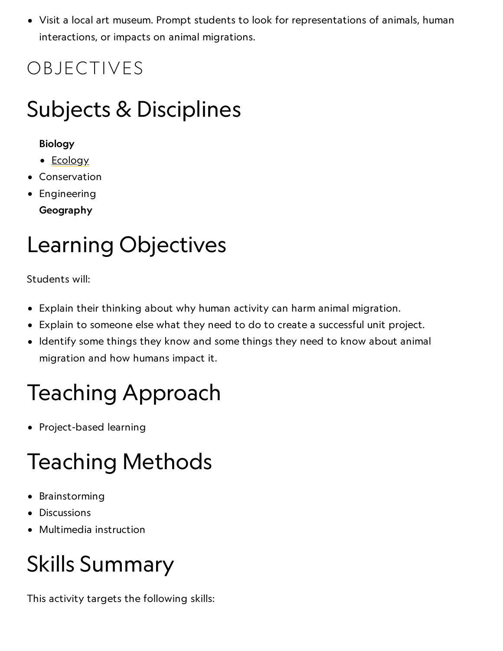Visit a local art museum. Prompt students to look for representations of animals, human interactions, or impacts on animal migrations.

### OBJECTIVES

### Subjects & Disciplines

#### Biology

- [Ecology](http://education.nationalgeographic.com/education/encyclopedia/ecology/?ar_a=1)
- Conservation
- **•** Engineering Geography

### Learning Objectives

Students will:

- Explain their thinking about why human activity can harm animal migration.
- Explain to someone else what they need to do to create a successful unit project.
- Identify some things they know and some things they need to know about animal migration and how humans impact it.

## Teaching Approach

• Project-based learning

## Teaching Methods

- **•** Brainstorming
- Discussions
- Multimedia instruction

## Skills Summary

This activity targets the following skills: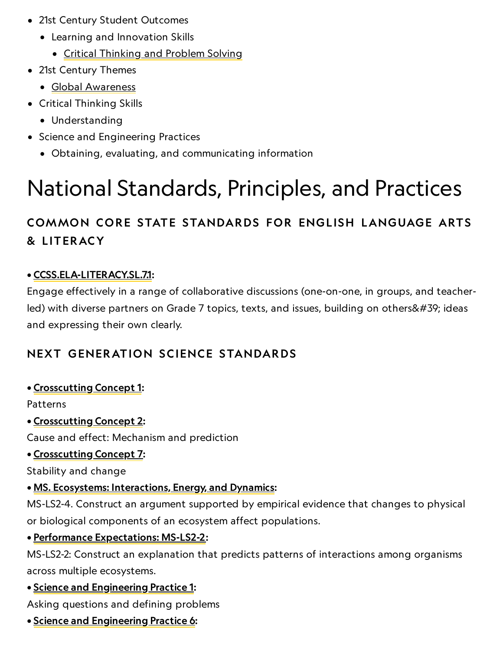- 21st Century Student Outcomes
	- Learning and Innovation Skills
		- Critical [Thinking](http://www.p21.org/index.php?option=com_content&task=view&id=260&Itemid=120) and Problem Solving
- 21st Century Themes
	- Global [Awareness](http://www.p21.org/index.php?option=com_content&task=view&id=256&Itemid=120)
- Critical Thinking Skills
	- Understanding
- Science and Engineering Practices
	- Obtaining, evaluating, and communicating information

## National Standards, Principles, and Practices

#### COMMON CORE STATE STANDARDS FOR ENGLISH LANGUAGE ARTS & L ITERACY

#### • [CCSS.ELA-LITERACY.SL.7.1:](http://www.corestandards.org/ELA-Literacy/SL/7/1/)

Engage effectively in a range of collaborative discussions (one-on-one, in groups, and teacherled) with diverse partners on Grade 7 topics, texts, and issues, building on others' ideas and expressing their own clearly.

#### NEXT GENERATION SCIENCE STANDARDS

#### • [Crosscutting](http://www.nap.edu/openbook.php?record_id=13165&page=85) Concept 1:

Patterns

• [Crosscutting](http://www.nap.edu/openbook.php?record_id=13165&page=87) Concept 2:

Cause and effect: Mechanism and prediction

#### • [Crosscutting](http://www.nap.edu/read/13165/chapter/8#97) Concept 7:

Stability and change

#### • MS. Ecosystems: [Interactions,](http://www.nextgenscience.org/ms-ls2-4-ecosystems-interactions-energy-and-dynamics) Energy, and Dynamics:

MS-LS2-4. Construct an argument supported by empirical evidence that changes to physical or biological components of an ecosystem affect populations.

#### • Performance [Expectations:](https://www.nextgenscience.org/pe/ms-ls2-2-ecosystems-interactions-energy-and-dynamics) MS-LS2-2:

MS-LS2-2: Construct an explanation that predicts patterns of interactions among organisms across multiple ecosystems.

#### • Science and [Engineering](http://www.nap.edu/openbook.php?record_id=13165&page=54) Practice 1:

Asking questions and defining problems

• Science and [Engineering](http://www.nap.edu/openbook.php?record_id=13165&page=67) Practice 6: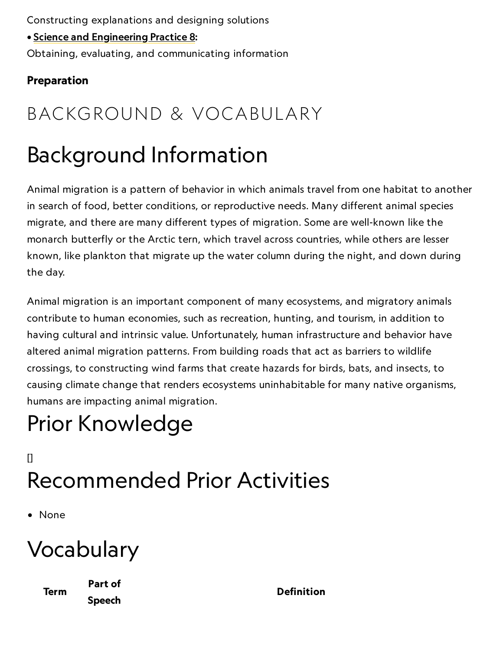Constructing explanations and designing solutions

• Science and [Engineering](http://www.nap.edu/openbook.php?record_id=13165&page=74) Practice 8:

Obtaining, evaluating, and communicating information

#### Preparation

### BACKGROUND & VOCABULARY

### Background Information

Animal migration is a pattern of behavior in which animals travel from one habitat to another in search of food, better conditions, or reproductive needs. Many different animal species migrate, and there are many different types of migration. Some are well-known like the monarch butterfly or the Arctic tern, which travel across countries, while others are lesser known, like plankton that migrate up the water column during the night, and down during the day.

Animal migration is an important component of many ecosystems, and migratory animals contribute to human economies, such as recreation, hunting, and tourism, in addition to having cultural and intrinsic value. Unfortunately, human infrastructure and behavior have altered animal migration patterns. From building roads that act as barriers to wildlife crossings, to constructing wind farms that create hazards for birds, bats, and insects, to causing climate change that renders ecosystems uninhabitable for many native organisms, humans are impacting animal migration.

### Prior Knowledge

### $\mathsf{I}$ Recommended Prior Activities

• None

### Vocabulary

Term

Part of Speech

Definition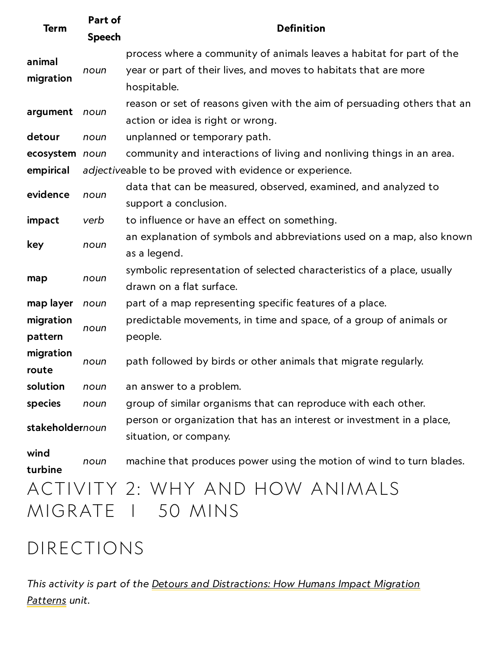| <b>Term</b>          | Part of<br><b>Speech</b> | <b>Definition</b>                                                                                                                                        |
|----------------------|--------------------------|----------------------------------------------------------------------------------------------------------------------------------------------------------|
| animal<br>migration  | noun                     | process where a community of animals leaves a habitat for part of the<br>year or part of their lives, and moves to habitats that are more<br>hospitable. |
| argument             | noun                     | reason or set of reasons given with the aim of persuading others that an<br>action or idea is right or wrong.                                            |
| detour               | noun                     | unplanned or temporary path.                                                                                                                             |
| ecosystem noun       |                          | community and interactions of living and nonliving things in an area.                                                                                    |
| empirical            |                          | adjectiveable to be proved with evidence or experience.                                                                                                  |
| evidence             | noun                     | data that can be measured, observed, examined, and analyzed to<br>support a conclusion.                                                                  |
| impact               | verb                     | to influence or have an effect on something.                                                                                                             |
| key                  | noun                     | an explanation of symbols and abbreviations used on a map, also known<br>as a legend.                                                                    |
| map                  | noun                     | symbolic representation of selected characteristics of a place, usually<br>drawn on a flat surface.                                                      |
| map layer            | noun                     | part of a map representing specific features of a place.                                                                                                 |
| migration<br>pattern | noun                     | predictable movements, in time and space, of a group of animals or<br>people.                                                                            |
| migration<br>route   | noun                     | path followed by birds or other animals that migrate regularly.                                                                                          |
| solution             | noun                     | an answer to a problem.                                                                                                                                  |
| species              | noun                     | group of similar organisms that can reproduce with each other.                                                                                           |
| stakeholdernoun      |                          | person or organization that has an interest or investment in a place,<br>situation, or company.                                                          |
| wind<br>turbine      | noun                     | machine that produces power using the motion of wind to turn blades.                                                                                     |
|                      |                          | ACTIVITY 2: WHY AND HOW ANIMALS                                                                                                                          |
| MIGRATE I            |                          | 50 MINS                                                                                                                                                  |

### DIRECTIONS

This activity is part of the Detours and [Distractions: How](https://www.nationalgeographic.org/unit/detours-and-distractions/) Humans Impact Migration Patterns unit.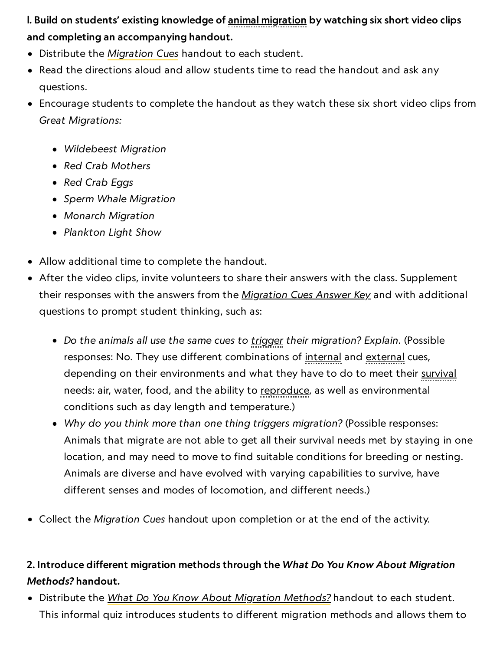I. Build on students' existing knowledge of animal migration by watching six short video clips and completing an accompanying handout.

- Distribute the *[Migration](https://media.nationalgeographic.org/assets/file/MigrationCues.pdf) Cues* handout to each student.
- Read the directions aloud and allow students time to read the handout and ask any questions.
- Encourage students to complete the handout as they watch these six short video clips from Great Migrations:
	- Wildebeest Migration
	- Red Crab Mothers
	- Red Crab Eggs
	- Sperm Whale Migration
	- Monarch Migration
	- Plankton Light Show
- Allow additional time to complete the handout.
- After the video clips, invite volunteers to share their answers with the class. Supplement their responses with the answers from the *[Migration](https://media.nationalgeographic.org/assets/file/MigrationCuesAnswerKey.pdf) Cues Answer Key* and with additional questions to prompt student thinking, such as:
	- Do the animals all use the same cues to trigger their migration? Explain. (Possible responses: No. They use different combinations of internal and external cues, depending on their environments and what they have to do to meet their survival needs: air, water, food, and the ability to reproduce, as well as environmental conditions such as day length and temperature.)
	- Why do you think more than one thing triggers migration? (Possible responses: Animals that migrate are not able to get all their survival needs met by staying in one location, and may need to move to find suitable conditions for breeding or nesting. Animals are diverse and have evolved with varying capabilities to survive, have different senses and modes of locomotion, and different needs.)
- Collect the Migration Cues handout upon completion or at the end of the activity.

#### 2. Introduce different migration methods through the What Do You Know About Migration Methods? handout.

• Distribute the What Do You Know About Migration [Methods?](https://media.nationalgeographic.org/assets/file/WhatDoYouNeedtoKnowAboutMigration.pdf) handout to each student. This informal quiz introduces students to different migration methods and allows them to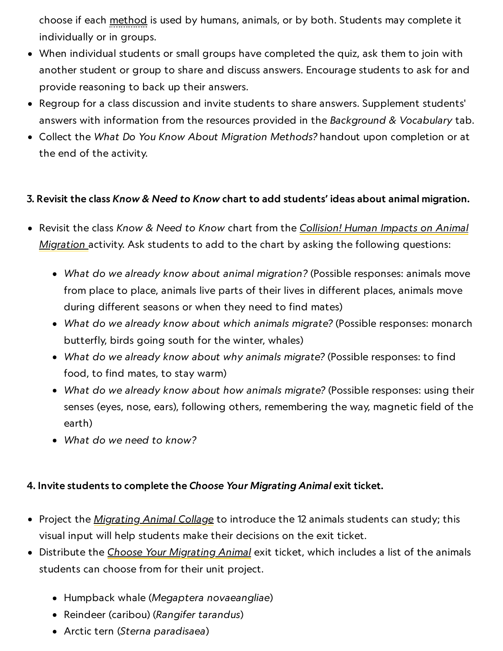choose if each method is used by humans, animals, or by both. Students may complete it individually or in groups.

- When individual students or small groups have completed the quiz, ask them to join with another student or group to share and discuss answers. Encourage students to ask for and provide reasoning to back up their answers.
- Regroup for a class discussion and invite students to share answers. Supplement students' answers with information from the resources provided in the Background & Vocabulary tab.
- Collect the What Do You Know About Migration Methods? handout upon completion or at the end of the activity.

#### 3. Revisit the class Know & Need to Know chart to add students' ideas about animal migration.

- Revisit the class Know & Need to Know chart from the Collision! Human Impacts on Animal Migration [activity. Ask](https://www.nationalgeographic.org/activity/collision-human-impacts-animal-migration/) students to add to the chart by asking the following questions:
	- What do we already know about animal migration? (Possible responses: animals move from place to place, animals live parts of their lives in different places, animals move during different seasons or when they need to find mates)
	- What do we already know about which animals migrate? (Possible responses: monarch butterfly, birds going south for the winter, whales)
	- What do we already know about why animals migrate? (Possible responses: to find food, to find mates, to stay warm)
	- What do we already know about how animals migrate? (Possible responses: using their senses (eyes, nose, ears), following others, remembering the way, magnetic field of the earth)
	- What do we need to know?

#### 4. Invite students to complete the Choose Your Migrating Animal exit ticket.

- Project the *[Migrating](https://media.nationalgeographic.org/assets/file/ChooseYourExitTicket_Collage_WS.indd) Animal Collage* to introduce the 12 animals students can study; this visual input will help students make their decisions on the exit ticket.
- Distribute the Choose Your [Migrating](https://media.nationalgeographic.org/assets/file/ChooseYourExitTicket.pdf) Animal exit ticket, which includes a list of the animals students can choose from for their unit project.
	- Humpback whale (Megaptera novaeangliae)
	- Reindeer (caribou) (Rangifer tarandus)
	- Arctic tern (Sterna paradisaea)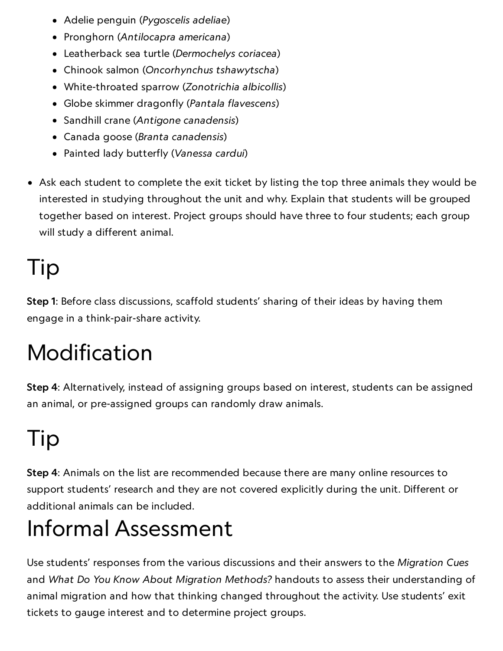- Adelie penguin (Pygoscelis adeliae)
- Pronghorn (Antilocapra americana)
- Leatherback sea turtle (Dermochelys coriacea)
- Chinook salmon (Oncorhynchus tshawytscha)
- White-throated sparrow (Zonotrichia albicollis)
- Globe skimmer dragonfly (Pantala flavescens)
- Sandhill crane (Antigone canadensis)
- Canada goose (Branta canadensis)
- Painted lady butterfly (Vanessa cardui)
- Ask each student to complete the exit ticket by listing the top three animals they would be interested in studying throughout the unit and why. Explain that students will be grouped together based on interest. Project groups should have three to four students; each group will study a different animal.

## Tip

Step 1: Before class discussions, scaffold students' sharing of their ideas by having them engage in a think-pair-share activity.

# Modification

Step 4: Alternatively, instead of assigning groups based on interest, students can be assigned an animal, or pre-assigned groups can randomly draw animals.

# Tip

Step 4: Animals on the list are recommended because there are many online resources to support students' research and they are not covered explicitly during the unit. Different or additional animals can be included.

## Informal Assessment

Use students' responses from the various discussions and their answers to the Migration Cues and What Do You Know About Migration Methods? handouts to assess their understanding of animal migration and how that thinking changed throughout the activity. Use students' exit tickets to gauge interest and to determine project groups.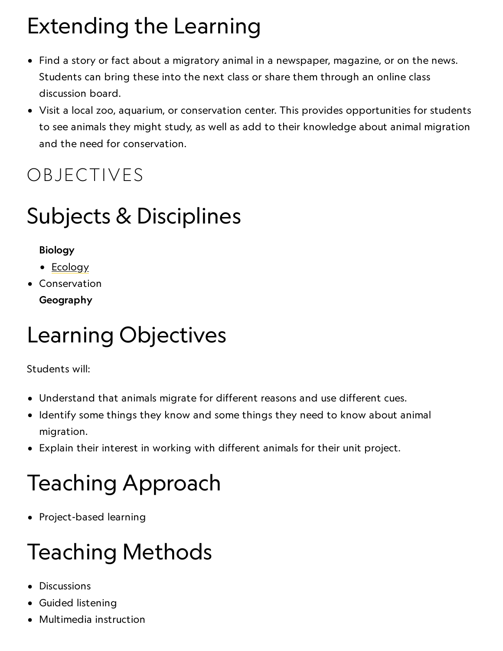# Extending the Learning

- Find a story or fact about a migratory animal in a newspaper, magazine, or on the news. Students can bring these into the next class or share them through an online class discussion board.
- Visit a local zoo, aquarium, or conservation center. This provides opportunities for students to see animals they might study, as well as add to their knowledge about animal migration and the need for conservation.

### OBJECTIVES

### Subjects & Disciplines

#### Biology

- [Ecology](http://education.nationalgeographic.com/education/encyclopedia/ecology/?ar_a=1)
- Conservation Geography

### Learning Objectives

Students will:

- Understand that animals migrate for different reasons and use different cues.
- Identify some things they know and some things they need to know about animal migration.
- Explain their interest in working with different animals for their unit project.

## Teaching Approach

• Project-based learning

### Teaching Methods

- Discussions
- Guided listening
- Multimedia instruction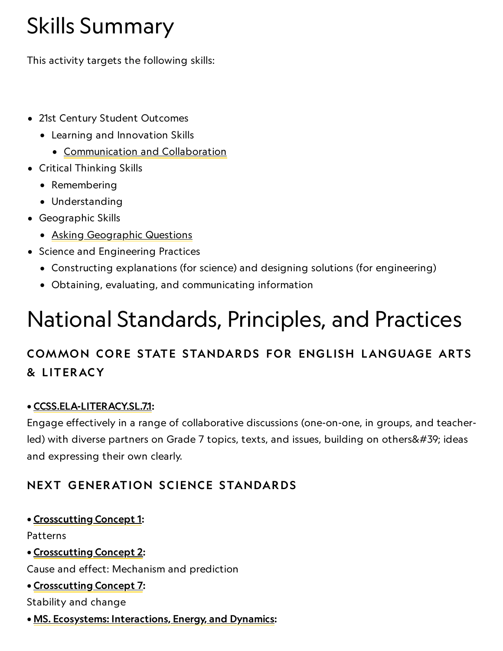### Skills Summary

This activity targets the following skills:

- 21st Century Student Outcomes
	- Learning and Innovation Skills
		- [Communication](http://www.p21.org/index.php?option=com_content&task=view&id=261&Itemid=120) and Collaboration
- Critical Thinking Skills
	- Remembering
	- Understanding
- Geographic Skills
	- Asking [Geographic](http://education.nationalgeographic.com/education/geographic-skills/1/?ar_a=1) Questions
- Science and Engineering Practices
	- Constructing explanations (for science) and designing solutions (for engineering)
	- Obtaining, evaluating, and communicating information

## National Standards, Principles, and Practices

#### COMMON CORE STATE STANDARDS FOR ENGLISH LANGUAGE ARTS & L ITERACY

#### • [CCSS.ELA-LITERACY.SL.7.1:](http://www.corestandards.org/ELA-Literacy/SL/7/1/)

Engage effectively in a range of collaborative discussions (one-on-one, in groups, and teacherled) with diverse partners on Grade 7 topics, texts, and issues, building on others' ideas and expressing their own clearly.

#### NEXT GENERATION SCIENCE STANDARDS

#### • [Crosscutting](http://www.nap.edu/openbook.php?record_id=13165&page=85) Concept 1:

Patterns

• [Crosscutting](http://www.nap.edu/openbook.php?record_id=13165&page=87) Concept 2:

Cause and effect: Mechanism and prediction

• [Crosscutting](http://www.nap.edu/read/13165/chapter/8#97) Concept 7:

Stability and change

• MS. Ecosystems: [Interactions,](http://www.nextgenscience.org/ms-ls2-4-ecosystems-interactions-energy-and-dynamics) Energy, and Dynamics: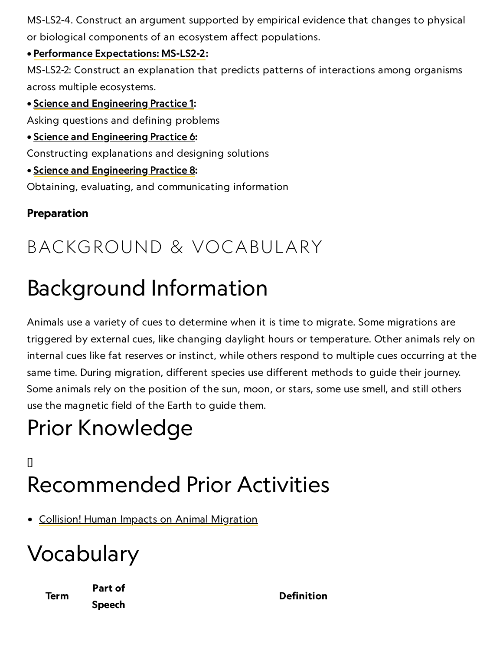MS-LS2-4. Construct an argument supported by empirical evidence that changes to physical or biological components of an ecosystem affect populations.

#### • Performance [Expectations:](https://www.nextgenscience.org/pe/ms-ls2-2-ecosystems-interactions-energy-and-dynamics) MS-LS2-2:

MS-LS2-2: Construct an explanation that predicts patterns of interactions among organisms across multiple ecosystems.

#### • Science and [Engineering](http://www.nap.edu/openbook.php?record_id=13165&page=54) Practice 1:

Asking questions and defining problems

• Science and [Engineering](http://www.nap.edu/openbook.php?record_id=13165&page=67) Practice 6:

Constructing explanations and designing solutions

• Science and [Engineering](http://www.nap.edu/openbook.php?record_id=13165&page=74) Practice 8:

Obtaining, evaluating, and communicating information

#### Preparation

### BACKGROUND & VOCABULARY

### Background Information

Animals use a variety of cues to determine when it is time to migrate. Some migrations are triggered by external cues, like changing daylight hours or temperature. Other animals rely on internal cues like fat reserves or instinct, while others respond to multiple cues occurring at the same time. During migration, different species use different methods to guide their journey. Some animals rely on the position of the sun, moon, or stars, some use smell, and still others use the magnetic field of the Earth to guide them.

### Prior Knowledge

### $\mathsf{I}$ Recommended Prior Activities

• Collision! Human Impacts on Animal [Migration](https://www.nationalgeographic.org/activity/collision-human-impacts-animal-migration/)

### Vocabulary

Term

Part of Speech

Definition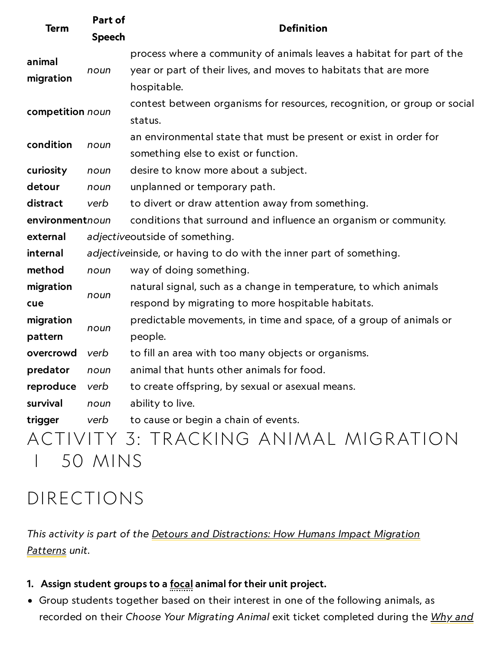| <b>Term</b>      | Part of<br><b>Speech</b> | <b>Definition</b>                                                        |
|------------------|--------------------------|--------------------------------------------------------------------------|
| animal           |                          | process where a community of animals leaves a habitat for part of the    |
| migration        | noun                     | year or part of their lives, and moves to habitats that are more         |
|                  |                          | hospitable.                                                              |
| competition noun |                          | contest between organisms for resources, recognition, or group or social |
|                  |                          | status.                                                                  |
|                  |                          | an environmental state that must be present or exist in order for        |
| condition        | noun                     | something else to exist or function.                                     |
| curiosity        | noun                     | desire to know more about a subject.                                     |
| detour           | noun                     | unplanned or temporary path.                                             |
| distract         | verb                     | to divert or draw attention away from something.                         |
| environmentnoun  |                          | conditions that surround and influence an organism or community.         |
| external         |                          | adjectiveoutside of something.                                           |
| internal         |                          | adjectiveinside, or having to do with the inner part of something.       |
| method           | noun                     | way of doing something.                                                  |
| migration        |                          | natural signal, such as a change in temperature, to which animals        |
| cue              | noun                     | respond by migrating to more hospitable habitats.                        |
| migration        |                          | predictable movements, in time and space, of a group of animals or       |
| pattern          | noun                     | people.                                                                  |
| overcrowd        | verb                     | to fill an area with too many objects or organisms.                      |
| predator         | noun                     | animal that hunts other animals for food.                                |
| reproduce        | verb                     | to create offspring, by sexual or asexual means.                         |
| survival         | noun                     | ability to live.                                                         |
| trigger          | verb                     | to cause or begin a chain of events.                                     |
|                  |                          | ACTIVITY 3: TRACKING ANIMAL MIGRATION                                    |
|                  | 50 MINS                  |                                                                          |

### DIRECTIONS

This activity is part of the Detours and [Distractions: How](https://www.nationalgeographic.org/unit/detours-and-distractions/) Humans Impact Migration Patterns unit.

- 1. Assign student groups to a **focal animal for their unit project**.
- Group students together based on their interest in one of the following animals, as recorded on their Choose Your Migrating Animal exit ticket [completed](https://www.nationalgeographic.org/activity/why-and-how-animals-migrate/) during the Why and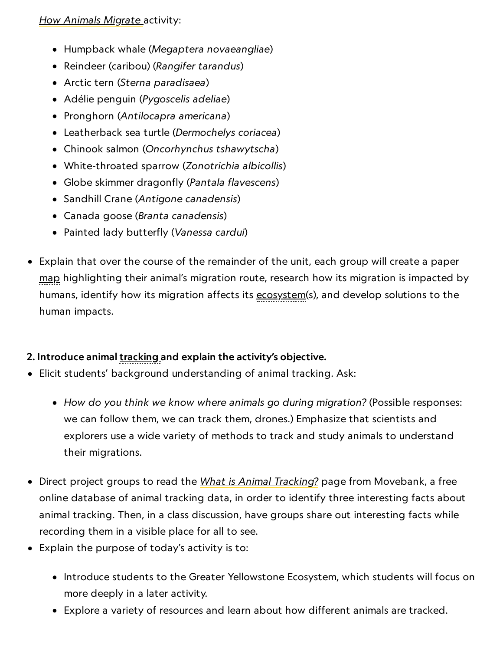#### How Animals Migrate [activity:](https://www.nationalgeographic.org/activity/why-and-how-animals-migrate/)

- Humpback whale (Megaptera novaeangliae)
- Reindeer (caribou) (Rangifer tarandus)
- Arctic tern (Sterna paradisaea)
- Adélie penguin (Pygoscelis adeliae)
- Pronghorn (Antilocapra americana)
- Leatherback sea turtle (Dermochelys coriacea)
- Chinook salmon (Oncorhynchus tshawytscha)
- White-throated sparrow (Zonotrichia albicollis)
- Globe skimmer dragonfly (Pantala flavescens)
- Sandhill Crane (Antigone canadensis)
- Canada goose (Branta canadensis)
- Painted lady butterfly (Vanessa cardui)
- Explain that over the course of the remainder of the unit, each group will create a paper map highlighting their animal's migration route, research how its migration is impacted by humans, identify how its migration affects its ecosystem(s), and develop solutions to the human impacts.

#### 2. Introduce animal tracking and explain the activity's objective.

- Elicit students' background understanding of animal tracking. Ask:
	- How do you think we know where animals go during migration? (Possible responses: we can follow them, we can track them, drones.) Emphasize that scientists and explorers use a wide variety of methods to track and study animals to understand their migrations.
- Direct project groups to read the <u>What is Animal [Tracking?](https://www.movebank.org/node/857)</u> page from Movebank, a free online database of animal tracking data, in order to identify three interesting facts about animal tracking. Then, in a class discussion, have groups share out interesting facts while recording them in a visible place for all to see.
- Explain the purpose of today's activity is to:
	- Introduce students to the Greater Yellowstone Ecosystem, which students will focus on more deeply in a later activity.
	- Explore a variety of resources and learn about how different animals are tracked.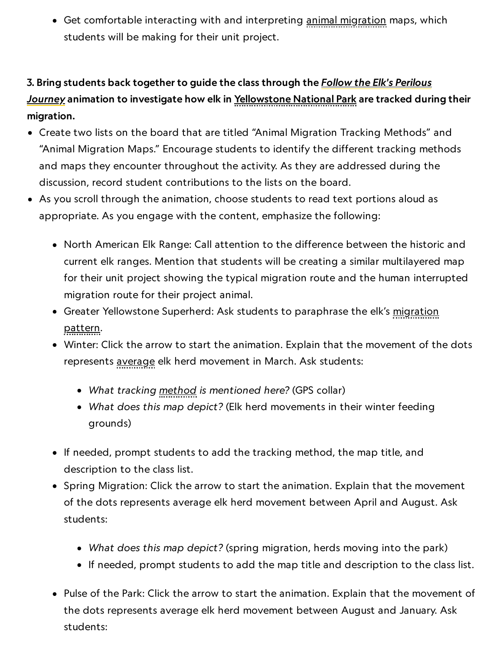Get comfortable interacting with and interpreting animal migration maps, which students will be making for their unit project.

#### 3. Bring students back together to guide the class through the **Follow the Elk's Perilous** Journey animation to investigate how elk in [Yellowstone](https://www.nationalgeographic.com/magazine/2016/05/yellowstone-national-parks-elk-migration-map/) National Park are tracked during their migration.

- Create two lists on the board that are titled "Animal Migration Tracking Methods" and "Animal Migration Maps." Encourage students to identify the different tracking methods and maps they encounter throughout the activity. As they are addressed during the discussion, record student contributions to the lists on the board.
- As you scroll through the animation, choose students to read text portions aloud as appropriate. As you engage with the content, emphasize the following:
	- North American Elk Range: Call attention to the difference between the historic and current elk ranges. Mention that students will be creating a similar multilayered map for their unit project showing the typical migration route and the human interrupted migration route for their project animal.
	- Greater Yellowstone Superherd: Ask students to paraphrase the elk's migration pattern.
	- Winter: Click the arrow to start the animation. Explain that the movement of the dots represents average elk herd movement in March. Ask students:
		- What tracking method is mentioned here? (GPS collar)
		- What does this map depict? (Elk herd movements in their winter feeding grounds)
	- If needed, prompt students to add the tracking method, the map title, and description to the class list.
	- Spring Migration: Click the arrow to start the animation. Explain that the movement of the dots represents average elk herd movement between April and August. Ask students:
		- What does this map depict? (spring migration, herds moving into the park)
		- If needed, prompt students to add the map title and description to the class list.
	- Pulse of the Park: Click the arrow to start the animation. Explain that the movement of the dots represents average elk herd movement between August and January. Ask students: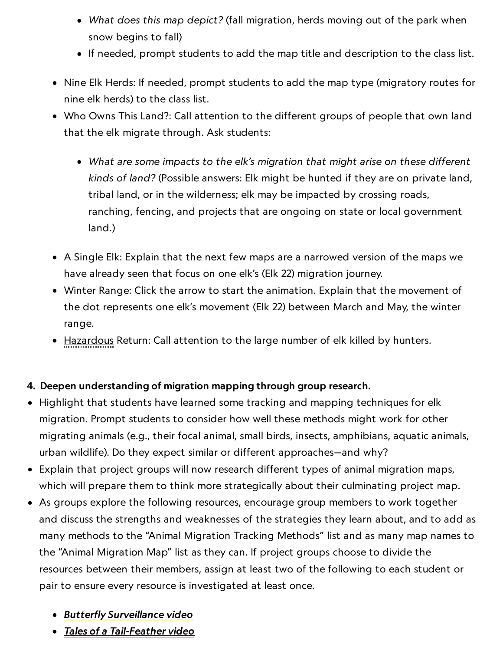- What does this map depict? (fall migration, herds moving out of the park when snow begins to fall)
- If needed, prompt students to add the map title and description to the class list.
- Nine Elk Herds: If needed, prompt students to add the map type (migratory routes for nine elk herds) to the class list.
- Who Owns This Land?: Call attention to the different groups of people that own land that the elk migrate through. Ask students:
	- What are some impacts to the elk's migration that might arise on these different kinds of land? (Possible answers: Elk might be hunted if they are on private land, tribal land, or in the wilderness; elk may be impacted by crossing roads, ranching, fencing, and projects that are ongoing on state or local government land.)
- A Single Elk: Explain that the next few maps are a narrowed version of the maps we have already seen that focus on one elk's (Elk 22) migration journey.
- Winter Range: Click the arrow to start the animation. Explain that the movement of the dot represents one elk's movement (Elk 22) between March and May, the winter range.
- Hazardous Return: Call attention to the large number of elk killed by hunters.

#### 4. Deepen understanding of migration mapping through group research.

- Highlight that students have learned some tracking and mapping techniques for elk migration. Prompt students to consider how well these methods might work for other migrating animals (e.g., their focal animal, small birds, insects, amphibians, aquatic animals, urban wildlife). Do they expect similar or different approaches—and why?
- Explain that project groups will now research different types of animal migration maps, which will prepare them to think more strategically about their culminating project map.
- As groups explore the following resources, encourage group members to work together and discuss the strengths and weaknesses of the strategies they learn about, and to add as many methods to the "Animal Migration Tracking Methods" list and as many map names to the "Animal Migration Map" list as they can. If project groups choose to divide the resources between their members, assign at least two of the following to each student or pair to ensure every resource is investigated at least once.
	- Butterfly [Surveillance](https://www.nationalgeographic.org/video/butterfly-surveillance/) video
	- Tales of a [Tail-Feather](https://www.nationalgeographic.org/video/tales-tail-feather/) video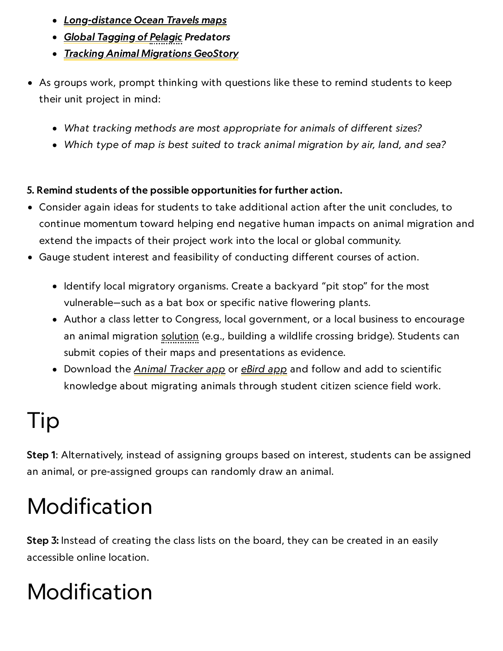- [Long-distance](https://www.nationalgeographic.org/maps/long-distance-ocean-travels/) Ocean Travels maps
- Global [Tagging](https://gtopp.org/) of Pelagic Predators
- **Tracking Animal [Migrations](https://www.nationalgeographic.org/media/tracking-animal-migrations/) GeoStory**
- As groups work, prompt thinking with questions like these to remind students to keep their unit project in mind:
	- What tracking methods are most appropriate for animals of different sizes?
	- Which type of map is best suited to track animal migration by air, land, and sea?

#### 5. Remind students of the possible opportunities for further action.

- Consider again ideas for students to take additional action after the unit concludes, to continue momentum toward helping end negative human impacts on animal migration and extend the impacts of their project work into the local or global community.
- Gauge student interest and feasibility of conducting different courses of action.
	- Identify local migratory organisms. Create a backyard "pit stop" for the most vulnerable—such as a bat box or specific native flowering plants.
	- Author a class letter to Congress, local government, or a local business to encourage an animal migration solution (e.g., building a wildlife crossing bridge). Students can submit copies of their maps and presentations as evidence.
	- Download the <u>Animal [Tracker](https://www.orn.mpg.de/animal_tracker) app</u> or <u>[eBird](https://ebird.org/home) app</u> and follow and add to scientific knowledge about migrating animals through student citizen science field work.

# Tip

Step 1: Alternatively, instead of assigning groups based on interest, students can be assigned an animal, or pre-assigned groups can randomly draw an animal.

## Modification

Step 3: Instead of creating the class lists on the board, they can be created in an easily accessible online location.

## Modification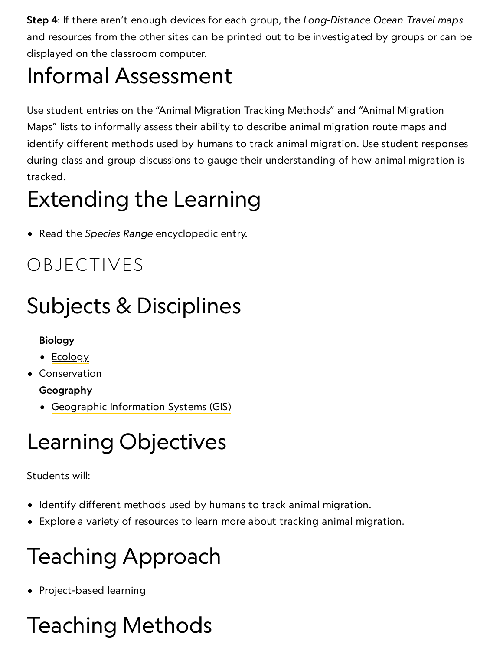Step 4: If there aren't enough devices for each group, the Long-Distance Ocean Travel maps and resources from the other sites can be printed out to be investigated by groups or can be displayed on the classroom computer.

# Informal Assessment

Use student entries on the "Animal Migration Tracking Methods" and "Animal Migration Maps" lists to informally assess their ability to describe animal migration route maps and identify different methods used by humans to track animal migration. Use student responses during class and group discussions to gauge their understanding of how animal migration is tracked.

## Extending the Learning

• Read the *[Species](http://www.nationalgeographic.org/encyclopedia/species-range/) Range* encyclopedic entry.

### OBJECTIVES

# Subjects & Disciplines

#### Biology

- [Ecology](http://education.nationalgeographic.com/education/encyclopedia/ecology/?ar_a=1)
- Conservation

#### Geography

[Geographic](http://education.nationalgeographic.com/education/encyclopedia/geographic-information-system-gis/?ar_a=1) Information Systems (GIS)

# Learning Objectives

#### Students will:

- Identify different methods used by humans to track animal migration.
- Explore a variety of resources to learn more about tracking animal migration.

# Teaching Approach

• Project-based learning

# Teaching Methods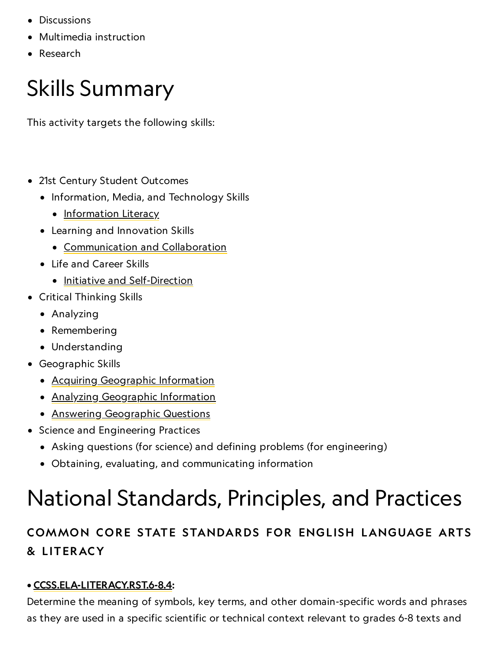- Discussions
- Multimedia instruction
- Research

### Skills Summary

This activity targets the following skills:

- 21st Century Student Outcomes
	- Information, Media, and Technology Skills
		- [Information](http://www.p21.org/index.php?option=com_content&task=view&id=264&Itemid=120) Literacy
	- Learning and Innovation Skills
		- [Communication](http://www.p21.org/index.php?option=com_content&task=view&id=261&Itemid=120) and Collaboration
	- Life and Career Skills
		- Initiative and [Self-Direction](http://www.p21.org/index.php?option=com_content&task=view&id=266&Itemid=120)
- Critical Thinking Skills
	- Analyzing
	- Remembering
	- Understanding
- Geographic Skills
	- Acquiring [Geographic](https://www.nationalgeographic.org/geographic-skills/2/) Information
	- Analyzing [Geographic](http://education.nationalgeographic.com/education/geographic-skills/4/?ar_a=1) Information
	- Answering [Geographic](http://education.nationalgeographic.com/education/geographic-skills/5/?ar_a=1) Questions
- Science and Engineering Practices
	- Asking questions (for science) and defining problems (for engineering)
	- Obtaining, evaluating, and communicating information

## National Standards, Principles, and Practices

#### COMMON CORE STATE STANDARDS FOR ENGLISH LANGUAGE ARTS & L ITERACY

#### • [CCSS.ELA-LITERACY.RST.6-8.4:](http://www.corestandards.org/ELA-Literacy/RST/6-8/4/)

Determine the meaning of symbols, key terms, and other domain-specific words and phrases as they are used in a specific scientific or technical context relevant to grades 6-8 texts and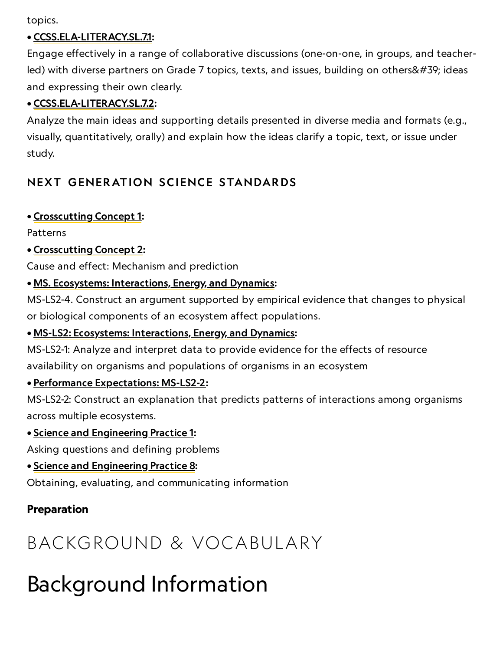topics.

#### • [CCSS.ELA-LITERACY.SL.7.1:](http://www.corestandards.org/ELA-Literacy/SL/7/1/)

Engage effectively in a range of collaborative discussions (one-on-one, in groups, and teacherled) with diverse partners on Grade 7 topics, texts, and issues, building on others' ideas and expressing their own clearly.

#### • [CCSS.ELA-LITERACY.SL.7.2:](http://www.corestandards.org/ELA-Literacy/SL/7/2/)

Analyze the main ideas and supporting details presented in diverse media and formats (e.g., visually, quantitatively, orally) and explain how the ideas clarify a topic, text, or issue under study.

#### NEXT GENERATION SCIENCE STANDARDS

#### • [Crosscutting](http://www.nap.edu/openbook.php?record_id=13165&page=85) Concept 1:

Patterns

#### • [Crosscutting](http://www.nap.edu/openbook.php?record_id=13165&page=87) Concept 2:

Cause and effect: Mechanism and prediction

#### • MS. Ecosystems: [Interactions,](http://www.nextgenscience.org/ms-ls2-4-ecosystems-interactions-energy-and-dynamics) Energy, and Dynamics:

MS-LS2-4. Construct an argument supported by empirical evidence that changes to physical or biological components of an ecosystem affect populations.

#### • MS-LS2: Ecosystems: [Interactions,](http://www.nextgenscience.org/ms-ls2-1-ecosystems-interactions-energy-and-dynamics) Energy, and Dynamics:

MS-LS2-1: Analyze and interpret data to provide evidence for the effects of resource availability on organisms and populations of organisms in an ecosystem

#### • Performance [Expectations:](https://www.nextgenscience.org/pe/ms-ls2-2-ecosystems-interactions-energy-and-dynamics) MS-LS2-2:

MS-LS2-2: Construct an explanation that predicts patterns of interactions among organisms across multiple ecosystems.

#### • Science and [Engineering](http://www.nap.edu/openbook.php?record_id=13165&page=54) Practice 1:

Asking questions and defining problems

• Science and [Engineering](http://www.nap.edu/openbook.php?record_id=13165&page=74) Practice 8:

Obtaining, evaluating, and communicating information

#### Preparation

### BACKGROUND & VOCABULARY

### Background Information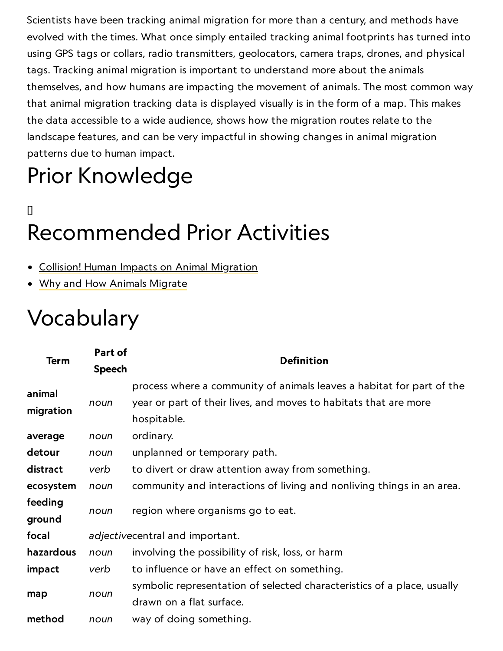Scientists have been tracking animal migration for more than a century, and methods have evolved with the times. What once simply entailed tracking animal footprints has turned into using GPS tags or collars, radio transmitters, geolocators, camera traps, drones, and physical tags. Tracking animal migration is important to understand more about the animals themselves, and how humans are impacting the movement of animals. The most common way that animal migration tracking data is displayed visually is in the form of a map. This makes the data accessible to a wide audience, shows how the migration routes relate to the landscape features, and can be very impactful in showing changes in animal migration patterns due to human impact.

# Prior Knowledge

### [] Recommended Prior Activities

- Collision! Human Impacts on Animal [Migration](https://www.nationalgeographic.org/activity/collision-human-impacts-animal-migration/)
- Why and How Animals [Migrate](https://www.nationalgeographic.org/activity/why-and-how-animals-migrate/)

### Vocabulary

| <b>Term</b>         | Part of                         | <b>Definition</b>                                                                                                                                        |
|---------------------|---------------------------------|----------------------------------------------------------------------------------------------------------------------------------------------------------|
|                     | <b>Speech</b>                   |                                                                                                                                                          |
| animal<br>migration | noun                            | process where a community of animals leaves a habitat for part of the<br>year or part of their lives, and moves to habitats that are more<br>hospitable. |
| average             | noun                            | ordinary.                                                                                                                                                |
| detour              | noun                            | unplanned or temporary path.                                                                                                                             |
| distract            | verb                            | to divert or draw attention away from something.                                                                                                         |
| ecosystem           | noun                            | community and interactions of living and nonliving things in an area.                                                                                    |
| feeding<br>ground   | noun                            | region where organisms go to eat.                                                                                                                        |
| focal               | adjectivecentral and important. |                                                                                                                                                          |
| hazardous           | noun                            | involving the possibility of risk, loss, or harm                                                                                                         |
| impact              | verb                            | to influence or have an effect on something.                                                                                                             |
| map                 | noun                            | symbolic representation of selected characteristics of a place, usually<br>drawn on a flat surface.                                                      |
| method              | noun                            | way of doing something.                                                                                                                                  |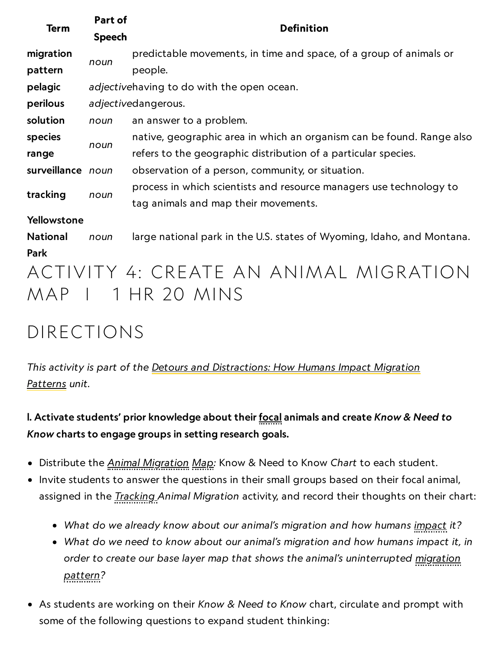| <b>Term</b>       | Part of<br><b>Speech</b>                   | <b>Definition</b>                                                                                           |  |
|-------------------|--------------------------------------------|-------------------------------------------------------------------------------------------------------------|--|
| migration         | noun                                       | predictable movements, in time and space, of a group of animals or                                          |  |
| pattern           |                                            | people.                                                                                                     |  |
| pelagic           | adjectivehaving to do with the open ocean. |                                                                                                             |  |
| perilous          | adjectivedangerous.                        |                                                                                                             |  |
| solution          | noun                                       | an answer to a problem.                                                                                     |  |
| species           | noun                                       | native, geographic area in which an organism can be found. Range also                                       |  |
| range             |                                            | refers to the geographic distribution of a particular species.                                              |  |
| surveillance noun |                                            | observation of a person, community, or situation.                                                           |  |
| tracking          | noun                                       | process in which scientists and resource managers use technology to<br>tag animals and map their movements. |  |
| Yellowstone       |                                            |                                                                                                             |  |
| <b>National</b>   | noun                                       | large national park in the U.S. states of Wyoming, Idaho, and Montana.                                      |  |
| <b>Park</b>       |                                            |                                                                                                             |  |
| MAP               |                                            | ACTIVITY 4: CREATE AN ANIMAL MIGRATION<br>I 1 HR 20 MINS                                                    |  |

### DIRECTIONS

This activity is part of the Detours and [Distractions: How](https://www.nationalgeographic.org/unit/detours-and-distractions/) Humans Impact Migration Patterns unit.

l. Activate students' prior knowledge about their focal animals and create Know & Need to Know charts to engage groups in setting research goals.

- Distribute the Animal Migration Map: Know & Need to Know Chart to each student.
- Invite students to answer the questions in their small groups based on their focal animal, assigned in the *Tracking Animal Migration* activity, and record their thoughts on their chart:
	- What do we already know about our animal's migration and how humans impact it?
	- What do we need to know about our animal's migration and how humans impact it, in order to create our base layer map that shows the animal's uninterrupted migration pattern?
- As students are working on their Know & Need to Know chart, circulate and prompt with some of the following questions to expand student thinking: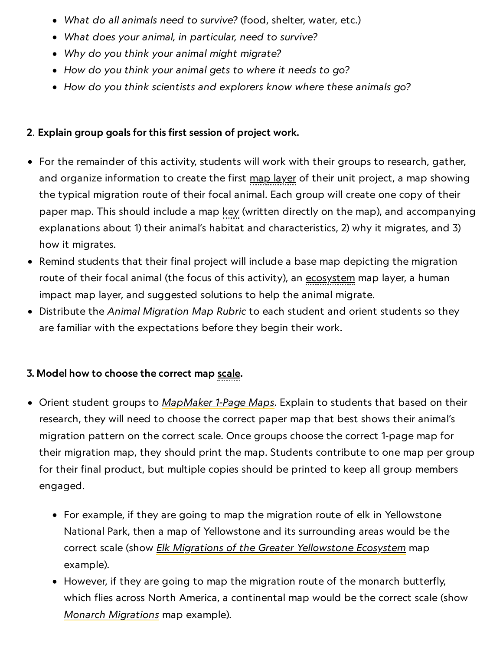- What do all animals need to survive? (food, shelter, water, etc.)
- What does your animal, in particular, need to survive?
- Why do you think your animal might migrate?
- How do you think your animal gets to where it needs to go?
- How do you think scientists and explorers know where these animals go?

#### 2. Explain group goals for this first session of project work.

- For the remainder of this activity, students will work with their groups to research, gather, and organize information to create the first map layer of their unit project, a map showing the typical migration route of their focal animal. Each group will create one copy of their paper map. This should include a map key (written directly on the map), and accompanying explanations about 1) their animal's habitat and characteristics, 2) why it migrates, and 3) how it migrates.
- Remind students that their final project will include a base map depicting the migration route of their focal animal (the focus of this activity), an ecosystem map layer, a human impact map layer, and suggested solutions to help the animal migrate.
- Distribute the Animal Migration Map Rubric to each student and orient students so they are familiar with the expectations before they begin their work.

#### 3. Model how to choose the correct map scale.

- Orient student groups to [MapMaker](https://www.nationalgeographic.org/education/classroom-resources/mapping/outline-map/) 1-Page Maps. Explain to students that based on their research, they will need to choose the correct paper map that best shows their animal's migration pattern on the correct scale. Once groups choose the correct 1-page map for their migration map, they should print the map. Students contribute to one map per group for their final product, but multiple copies should be printed to keep all group members engaged.
	- For example, if they are going to map the migration route of elk in Yellowstone National Park, then a map of Yellowstone and its surrounding areas would be the correct scale (show *Elk Migrations of the Greater [Yellowstone](http://www.greateryellowstonemigrations.com/wp-content/uploads/2015/09/jenny-map-map.jpg) Ecosystem* map example).
	- However, if they are going to map the migration route of the monarch butterfly, which flies across North America, a continental map would be the correct scale (show Monarch [Migrations](https://paulmirocha.com/wp-content/uploads/2011/11/monarch_migration_map.jpg) map example).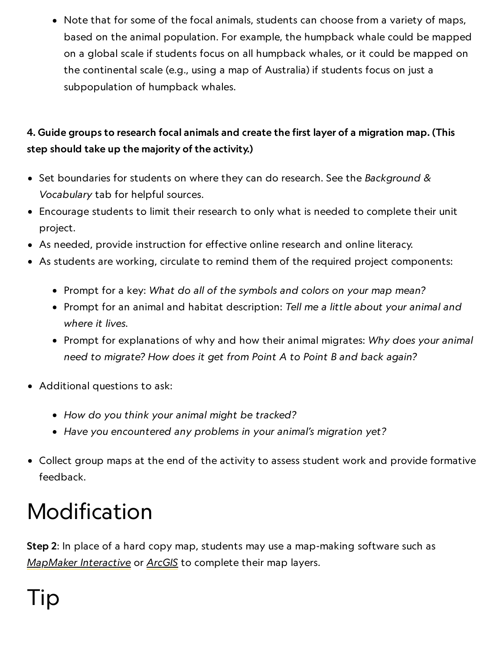Note that for some of the focal animals, students can choose from a variety of maps, based on the animal population. For example, the humpback whale could be mapped on a global scale if students focus on all humpback whales, or it could be mapped on the continental scale (e.g., using a map of Australia) if students focus on just a subpopulation of humpback whales.

#### 4. Guide groups to research focal animals and create the first layer of a migration map. (This step should take up the majority of the activity.)

- Set boundaries for students on where they can do research. See the Background & Vocabulary tab for helpful sources.
- Encourage students to limit their research to only what is needed to complete their unit project.
- As needed, provide instruction for effective online research and online literacy.
- As students are working, circulate to remind them of the required project components:
	- Prompt for a key: What do all of the symbols and colors on your map mean?
	- Prompt for an animal and habitat description: Tell me a little about your animal and where it lives.
	- Prompt for explanations of why and how their animal migrates: Why does your animal need to migrate? How does it get from Point A to Point B and back again?
- Additional questions to ask:
	- How do you think your animal might be tracked?
	- Have you encountered any problems in your animal's migration yet?
- Collect group maps at the end of the activity to assess student work and provide formative feedback.

# Modification

Step 2: In place of a hard copy map, students may use a map-making software such as [MapMaker](http://mapmaker.nationalgeographic.org/) Interactive or [ArcGIS](http://www.arcgis.com/index.html) to complete their map layers.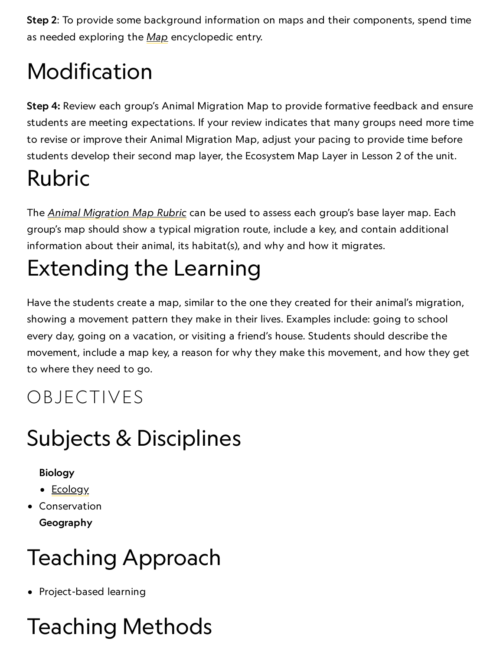Step 2: To provide some background information on maps and their components, spend time as needed exploring the [Map](http://www.nationalgeographic.org/encyclopedia/map/) encyclopedic entry.

# Modification

Step 4: Review each group's Animal Migration Map to provide formative feedback and ensure students are meeting expectations. If your review indicates that many groups need more time to revise or improve their Animal Migration Map, adjust your pacing to provide time before students develop their second map layer, the Ecosystem Map Layer in Lesson 2 of the unit.

# Rubric

The Animal [Migration](https://media.nationalgeographic.org/assets/file/AnimalMigrationMapRubric.pdf) Map Rubric can be used to assess each group's base layer map. Each group's map should show a typical migration route, include a key, and contain additional information about their animal, its habitat(s), and why and how it migrates.

# Extending the Learning

Have the students create a map, similar to the one they created for their animal's migration, showing a movement pattern they make in their lives. Examples include: going to school every day, going on a vacation, or visiting a friend's house. Students should describe the movement, include a map key, a reason for why they make this movement, and how they get to where they need to go.

### OBJECTIVES

## Subjects & Disciplines

#### Biology

- [Ecology](http://education.nationalgeographic.com/education/encyclopedia/ecology/?ar_a=1)
- Conservation Geography

# Teaching Approach

• Project-based learning

# Teaching Methods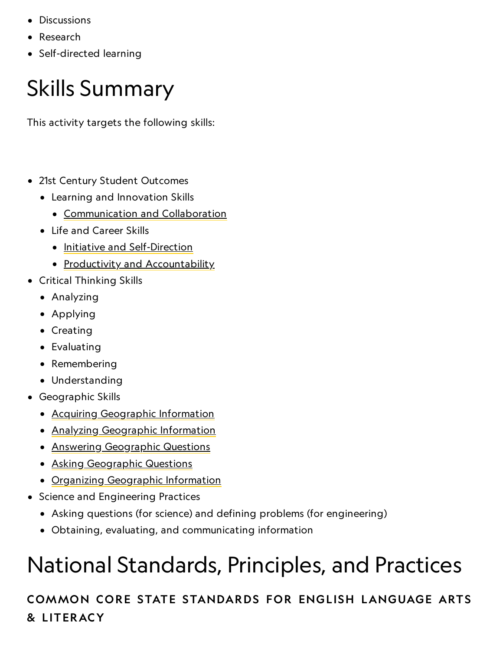- Discussions
- Research
- Self-directed learning

### Skills Summary

This activity targets the following skills:

- 21st Century Student Outcomes
	- Learning and Innovation Skills
		- [Communication](http://www.p21.org/index.php?option=com_content&task=view&id=261&Itemid=120) and Collaboration
	- Life and Career Skills
		- Initiative and [Self-Direction](http://www.p21.org/index.php?option=com_content&task=view&id=266&Itemid=120)
		- Productivity and [Accountability](http://www.p21.org/index.php?option=com_content&task=view&id=266&Itemid=120)
- Critical Thinking Skills
	- Analyzing
	- Applying
	- Creating
	- Evaluating
	- Remembering
	- Understanding
- Geographic Skills
	- Acquiring [Geographic](https://www.nationalgeographic.org/geographic-skills/2/) Information
	- Analyzing [Geographic](http://education.nationalgeographic.com/education/geographic-skills/4/?ar_a=1) Information
	- Answering [Geographic](http://education.nationalgeographic.com/education/geographic-skills/5/?ar_a=1) Questions
	- Asking [Geographic](http://education.nationalgeographic.com/education/geographic-skills/1/?ar_a=1) Questions
	- Organizing [Geographic](http://education.nationalgeographic.com/education/geographic-skills/3/?ar_a=1) Information
- Science and Engineering Practices
	- Asking questions (for science) and defining problems (for engineering)
	- Obtaining, evaluating, and communicating information

# National Standards, Principles, and Practices

#### COMMON CORE STATE STANDARDS FOR ENGLISH LANGUAGE ARTS & L ITERACY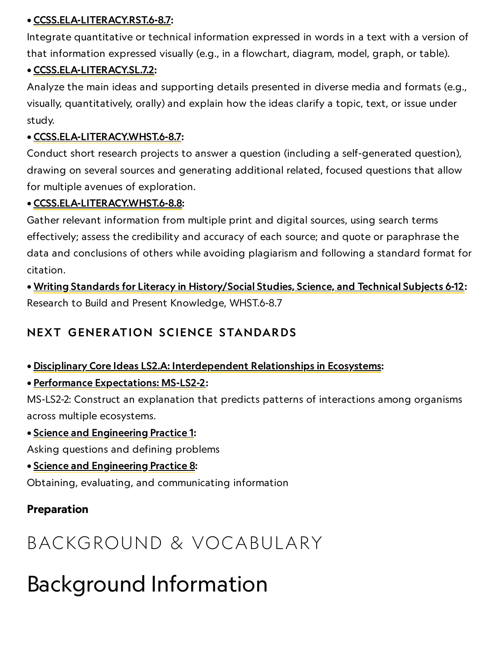#### • [CCSS.ELA-LITERACY.RST.6-8.7](http://www.corestandards.org/ELA-Literacy/RST/6-8/#CCSS.ELA-Literacy.RST.6-8.7):

Integrate quantitative or technical information expressed in words in a text with a version of that information expressed visually (e.g., in a flowchart, diagram, model, graph, or table).

#### • [CCSS.ELA-LITERACY.SL.7.2:](http://www.corestandards.org/ELA-Literacy/SL/7/2/)

Analyze the main ideas and supporting details presented in diverse media and formats (e.g., visually, quantitatively, orally) and explain how the ideas clarify a topic, text, or issue under study.

#### • [CCSS.ELA-LITERACY.WHST.6-8.7:](http://www.corestandards.org/ELA-Literacy/WHST/6-8/7/)

Conduct short research projects to answer a question (including a self-generated question), drawing on several sources and generating additional related, focused questions that allow for multiple avenues of exploration.

#### • [CCSS.ELA-LITERACY.WHST.6-8.8:](http://www.corestandards.org/ELA-Literacy/WHST/6-8/8/)

Gather relevant information from multiple print and digital sources, using search terms effectively; assess the credibility and accuracy of each source; and quote or paraphrase the data and conclusions of others while avoiding plagiarism and following a standard format for citation.

• Writing Standards for Literacy in [History/Social](http://www.corestandards.org/the-standards/english-language-arts-standards/writing-hst/grades-6-8/) Studies, Science, and Technical Subjects 6-12: Research to Build and Present Knowledge, WHST.6-8.7

#### NEXT GENERATION SCIENCE STANDARDS

- Disciplinary Core Ideas LS2.A: [Interdependent](https://www.nap.edu/read/13165/chapter/10#150) Relationships in Ecosystems:
- Performance [Expectations:](https://www.nextgenscience.org/pe/ms-ls2-2-ecosystems-interactions-energy-and-dynamics) MS-LS2-2:

MS-LS2-2: Construct an explanation that predicts patterns of interactions among organisms across multiple ecosystems.

#### • Science and [Engineering](http://www.nap.edu/openbook.php?record_id=13165&page=54) Practice 1:

Asking questions and defining problems

• Science and [Engineering](http://www.nap.edu/openbook.php?record_id=13165&page=74) Practice 8:

Obtaining, evaluating, and communicating information

#### Preparation

### BACKGROUND & VOCABULARY

### Background Information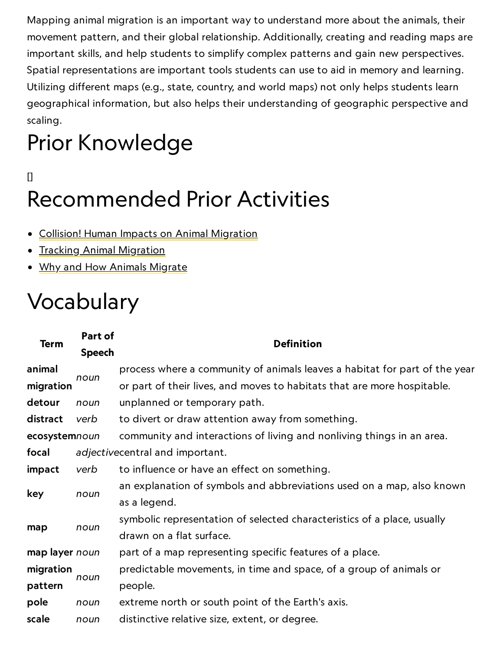Mapping animal migration is an important way to understand more about the animals, their movement pattern, and their global relationship. Additionally, creating and reading maps are important skills, and help students to simplify complex patterns and gain new perspectives. Spatial representations are important tools students can use to aid in memory and learning. Utilizing different maps (e.g., state, country, and world maps) not only helps students learn geographical information, but also helps their understanding of geographic perspective and scaling.

# Prior Knowledge

### [] Recommended Prior Activities

- Collision! Human Impacts on Animal [Migration](https://www.nationalgeographic.org/activity/collision-human-impacts-animal-migration/)
- **Tracking Animal [Migration](https://www.nationalgeographic.org/activity/tracking-animal-migration/)**
- Why and How Animals [Migrate](https://www.nationalgeographic.org/activity/why-and-how-animals-migrate/)

## Vocabulary

| <b>Term</b>    | Part of       | <b>Definition</b>                                                          |
|----------------|---------------|----------------------------------------------------------------------------|
|                | <b>Speech</b> |                                                                            |
| animal         | noun          | process where a community of animals leaves a habitat for part of the year |
| migration      |               | or part of their lives, and moves to habitats that are more hospitable.    |
| detour         | noun          | unplanned or temporary path.                                               |
| distract       | verb          | to divert or draw attention away from something.                           |
| ecosystemnoun  |               | community and interactions of living and nonliving things in an area.      |
| focal          |               | adjectivecentral and important.                                            |
| impact         | verb          | to influence or have an effect on something.                               |
| key            | noun          | an explanation of symbols and abbreviations used on a map, also known      |
|                |               | as a legend.                                                               |
| map            | noun          | symbolic representation of selected characteristics of a place, usually    |
|                |               | drawn on a flat surface.                                                   |
| map layer noun |               | part of a map representing specific features of a place.                   |
| migration      | noun          | predictable movements, in time and space, of a group of animals or         |
| pattern        |               | people.                                                                    |
| pole           | noun          | extreme north or south point of the Earth's axis.                          |
| scale          | noun          | distinctive relative size, extent, or degree.                              |